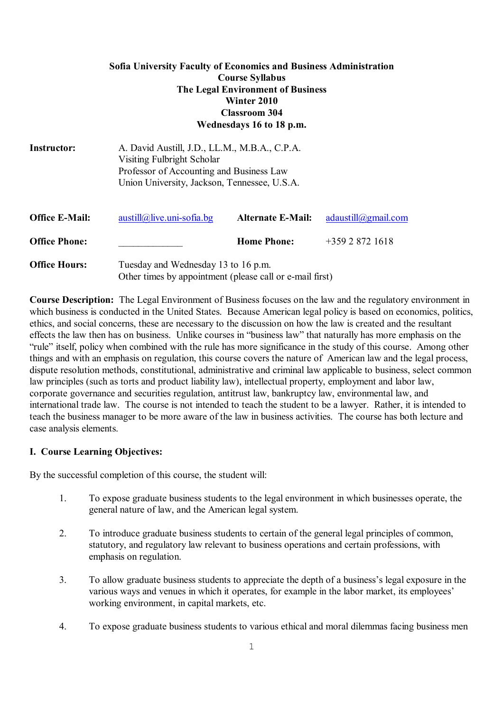## **Sofia University Faculty of Economics and Business Administration Course Syllabus The Legal Environment of Business Winter 2010 Classroom 304 Wednesdays 16 to 18 p.m.**

| Instructor:           | A. David Austill, J.D., LL.M., M.B.A., C.P.A.<br>Visiting Fulbright Scholar<br>Professor of Accounting and Business Law<br>Union University, Jackson, Tennessee, U.S.A. |                          |                     |
|-----------------------|-------------------------------------------------------------------------------------------------------------------------------------------------------------------------|--------------------------|---------------------|
| <b>Office E-Mail:</b> | $austill@live.uni-softa.bg$                                                                                                                                             | <b>Alternate E-Mail:</b> | adaustill@gmail.com |
| <b>Office Phone:</b>  |                                                                                                                                                                         | <b>Home Phone:</b>       | $+35928721618$      |
| <b>Office Hours:</b>  | Tuesday and Wednesday 13 to 16 p.m.<br>Other times by appointment (please call or e-mail first)                                                                         |                          |                     |

**Course Description:** The Legal Environment of Business focuses on the law and the regulatory environment in which business is conducted in the United States. Because American legal policy is based on economics, politics, ethics, and social concerns, these are necessary to the discussion on how the law is created and the resultant effects the law then has on business. Unlike courses in "business law" that naturally has more emphasis on the "rule" itself, policy when combined with the rule has more significance in the study of this course. Among other things and with an emphasis on regulation, this course covers the nature of American law and the legal process, dispute resolution methods, constitutional, administrative and criminal law applicable to business, select common law principles (such as torts and product liability law), intellectual property, employment and labor law, corporate governance and securities regulation, antitrust law, bankruptcy law, environmental law, and international trade law. The course is not intended to teach the student to be a lawyer. Rather, it is intended to teach the business manager to be more aware of the law in business activities. The course has both lecture and case analysis elements.

## **I. Course Learning Objectives:**

By the successful completion of this course, the student will:

- 1. To expose graduate business students to the legal environment in which businesses operate, the general nature of law, and the American legal system.
- 2. To introduce graduate business students to certain of the general legal principles of common, statutory, and regulatory law relevant to business operations and certain professions, with emphasis on regulation.
- 3. To allow graduate business students to appreciate the depth of a business's legal exposure in the various ways and venues in which it operates, for example in the labor market, its employees' working environment, in capital markets, etc.
- 4. To expose graduate business students to various ethical and moral dilemmas facing business men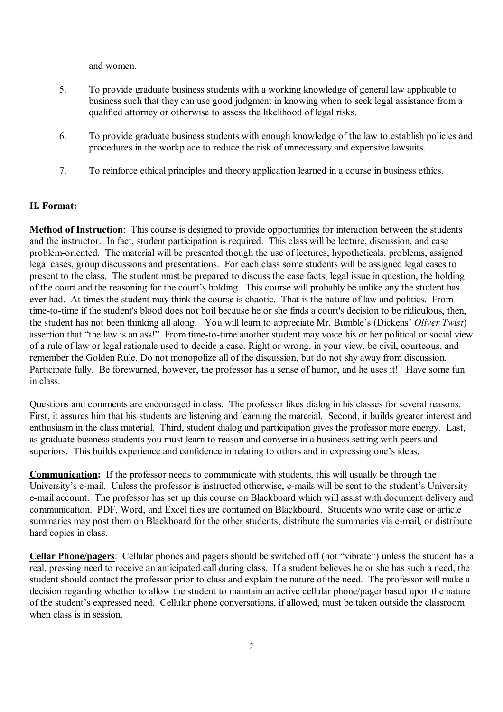and women.

- 5. To provide graduate business students with a working knowledge of general law applicable to business such that they can use good judgment in knowing when to seek legal assistance from a qualified attorney or otherwise to assess the likelihood of legal risks.
- 6. To provide graduate business students with enough knowledge of the law to establish policies and procedures in the workplace to reduce the risk of unnecessary and expensive lawsuits.
- 7. To reinforce ethical principles and theory application learned in a course in business ethics.

### **II. Format:**

**Method of Instruction**: This course is designed to provide opportunities for interaction between the students and the instructor. In fact, student participation is required. This class will be lecture, discussion, and case problem-oriented. The material will be presented though the use of lectures, hypotheticals, problems, assigned legal cases, group discussions and presentations. For each class some students will be assigned legal cases to present to the class. The student must be prepared to discuss the case facts, legal issue in question, the holding of the court and the reasoning for the court's holding. This course will probably be unlike any the student has ever had. At times the student may think the course is chaotic. That is the nature of law and politics. From time-to-time if the student's blood does not boil because he or she finds a court's decision to be ridiculous, then, the student has not been thinking all along. You will learn to appreciate Mr. Bumble's (Dickens' *Oliver Twist*) assertion that "the law is an ass!" From time-to-time another student may voice his or her political or social view of a rule of law or legal rationale used to decide a case. Right or wrong, in your view, be civil, courteous, and remember the Golden Rule. Do not monopolize all of the discussion, but do not shy away from discussion. Participate fully. Be forewarned, however, the professor has a sense of humor, and he uses it! Have some fun in class.

Questions and comments are encouraged in class. The professor likes dialog in his classes for several reasons. First, it assures him that his students are listening and learning the material. Second, it builds greater interest and enthusiasm in the class material. Third, student dialog and participation gives the professor more energy. Last, as graduate business students you must learn to reason and converse in a business setting with peers and superiors. This builds experience and confidence in relating to others and in expressing one's ideas.

**Communication:** If the professor needs to communicate with students, this will usually be through the University's e-mail. Unless the professor is instructed otherwise, e-mails will be sent to the student's University e-mail account. The professor has set up this course on Blackboard which will assist with document delivery and communication. PDF, Word, and Excel files are contained on Blackboard. Students who write case or article summaries may post them on Blackboard for the other students, distribute the summaries via e-mail, or distribute hard copies in class.

**Cellar Phone/pagers**: Cellular phones and pagers should be switched off (not "vibrate") unless the student has a real, pressing need to receive an anticipated call during class. If a student believes he or she has such a need, the student should contact the professor prior to class and explain the nature of the need. The professor will make a decision regarding whether to allow the student to maintain an active cellular phone/pager based upon the nature of the student's expressed need. Cellular phone conversations, if allowed, must be taken outside the classroom when class is in session.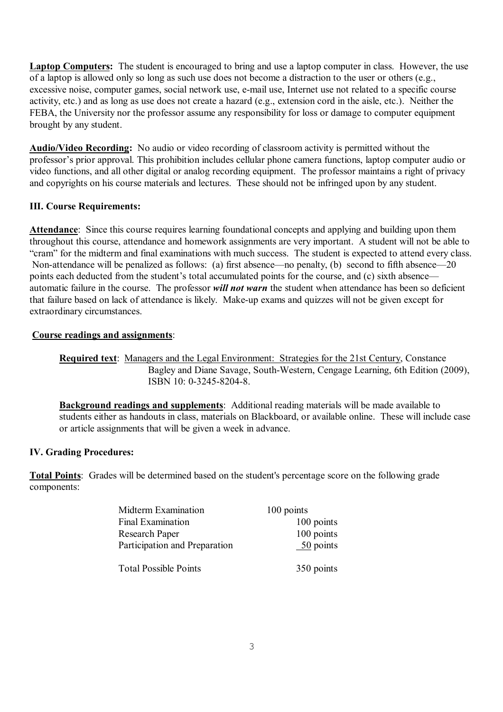**Laptop Computers:** The student is encouraged to bring and use a laptop computer in class. However, the use of a laptop is allowed only so long as such use does not become a distraction to the user or others (e.g., excessive noise, computer games, social network use, e-mail use, Internet use not related to a specific course activity, etc.) and as long as use does not create a hazard (e.g., extension cord in the aisle, etc.). Neither the FEBA, the University nor the professor assume any responsibility for loss or damage to computer equipment brought by any student.

**Audio/Video Recording:** No audio or video recording of classroom activity is permitted without the professor's prior approval. This prohibition includes cellular phone camera functions, laptop computer audio or video functions, and all other digital or analog recording equipment. The professor maintains a right of privacy and copyrights on his course materials and lectures. These should not be infringed upon by any student.

# **III. Course Requirements:**

**Attendance**: Since this course requires learning foundational concepts and applying and building upon them throughout this course, attendance and homework assignments are very important. A student will not be able to "cram" for the midterm and final examinations with much success. The student is expected to attend every class. Non-attendance will be penalized as follows: (a) first absence—no penalty, (b) second to fifth absence—20 points each deducted from the student's total accumulated points for the course, and (c) sixth absence automatic failure in the course. The professor *will not warn* the student when attendance has been so deficient that failure based on lack of attendance is likely. Make-up exams and quizzes will not be given except for extraordinary circumstances.

## **Course readings and assignments**:

**Required text**:Managers and the Legal Environment: Strategies for the 21st Century, Constance Bagley and Diane Savage, South-Western, Cengage Learning, 6th Edition (2009), ISBN 10: 0-3245-8204-8.

**Background readings and supplements**: Additional reading materials will be made available to students either as handouts in class, materials on Blackboard, or available online. These will include case or article assignments that will be given a week in advance.

# **IV. Grading Procedures:**

**Total Points**: Grades will be determined based on the student's percentage score on the following grade components:

| <b>Midterm Examination</b>    | 100 points |
|-------------------------------|------------|
| Final Examination             | 100 points |
| Research Paper                | 100 points |
| Participation and Preparation | 50 points  |
| <b>Total Possible Points</b>  | 350 points |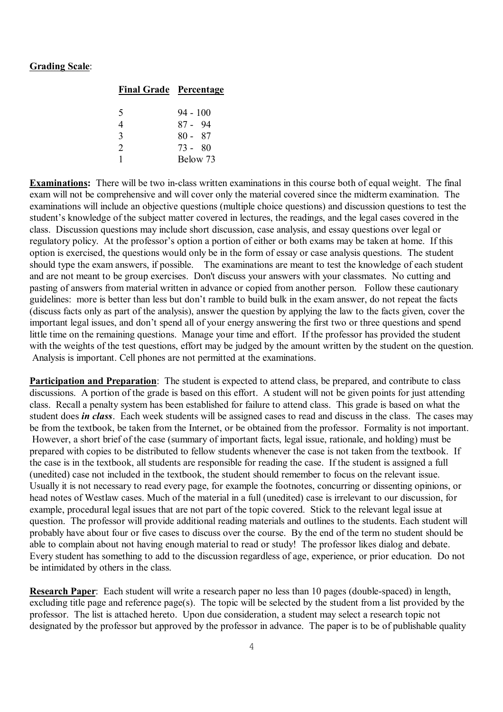### **Grading Scale**:

|               | <b>Final Grade Percentage</b> |
|---------------|-------------------------------|
|               |                               |
| 5             | $94 - 100$                    |
|               | 87 - 94                       |
| $\mathbf{R}$  | $80 - 87$                     |
| $\mathcal{D}$ | 73 - 80                       |
|               | Below 73                      |

**Examinations:** There will be two in-class written examinations in this course both of equal weight. The final exam will not be comprehensive and will cover only the material covered since the midterm examination. The examinations will include an objective questions (multiple choice questions) and discussion questions to test the student's knowledge of the subject matter covered in lectures, the readings, and the legal cases covered in the class. Discussion questions may include short discussion, case analysis, and essay questions over legal or regulatory policy. At the professor's option a portion of either or both exams may be taken at home. If this option is exercised, the questions would only be in the form of essay or case analysis questions. The student should type the exam answers, if possible. The examinations are meant to test the knowledge of each student and are not meant to be group exercises. Don't discuss your answers with your classmates. No cutting and pasting of answers from material written in advance or copied from another person. Follow these cautionary guidelines: more is better than less but don't ramble to build bulk in the exam answer, do not repeat the facts (discuss facts only as part of the analysis), answer the question by applying the law to the facts given, cover the important legal issues, and don't spend all of your energy answering the first two or three questions and spend little time on the remaining questions. Manage your time and effort. If the professor has provided the student with the weights of the test questions, effort may be judged by the amount written by the student on the question. Analysis is important. Cell phones are not permitted at the examinations.

**Participation and Preparation**: The student is expected to attend class, be prepared, and contribute to class discussions. A portion of the grade is based on this effort. A student will not be given points for just attending class. Recall a penalty system has been established for failure to attend class. This grade is based on what the student does *in class*. Each week students will be assigned cases to read and discuss in the class. The cases may be from the textbook, be taken from the Internet, or be obtained from the professor. Formality is not important. However, a short brief of the case (summary of important facts, legal issue, rationale, and holding) must be prepared with copies to be distributed to fellow students whenever the case is not taken from the textbook. If the case is in the textbook, all students are responsible for reading the case. If the student is assigned a full (unedited) case not included in the textbook, the student should remember to focus on the relevant issue. Usually it is not necessary to read every page, for example the footnotes, concurring or dissenting opinions, or head notes of Westlaw cases. Much of the material in a full (unedited) case is irrelevant to our discussion, for example, procedural legal issues that are not part of the topic covered. Stick to the relevant legal issue at question. The professor will provide additional reading materials and outlines to the students. Each student will probably have about four or five cases to discuss over the course. By the end of the term no student should be able to complain about not having enough material to read or study! The professor likes dialog and debate. Every student has something to add to the discussion regardless of age, experience, or prior education. Do not be intimidated by others in the class.

**Research Paper**: Each student will write a research paper no less than 10 pages (double-spaced) in length, excluding title page and reference page(s). The topic will be selected by the student from a list provided by the professor. The list is attached hereto. Upon due consideration, a student may select a research topic not designated by the professor but approved by the professor in advance. The paper is to be of publishable quality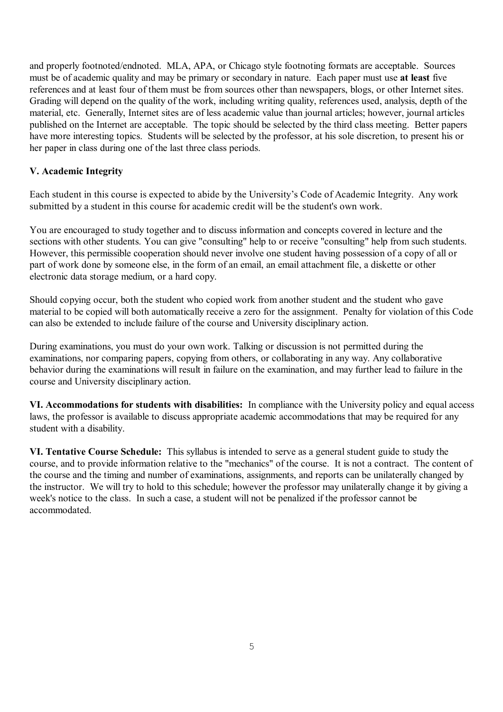and properly footnoted/endnoted. MLA, APA, or Chicago style footnoting formats are acceptable. Sources must be of academic quality and may be primary or secondary in nature. Each paper must use **at least** five references and at least four of them must be from sources other than newspapers, blogs, or other Internet sites. Grading will depend on the quality of the work, including writing quality, references used, analysis, depth of the material, etc. Generally, Internet sites are of less academic value than journal articles; however, journal articles published on the Internet are acceptable. The topic should be selected by the third class meeting. Better papers have more interesting topics. Students will be selected by the professor, at his sole discretion, to present his or her paper in class during one of the last three class periods.

## **V. Academic Integrity**

Each student in this course is expected to abide by the University's Code of Academic Integrity. Any work submitted by a student in this course for academic credit will be the student's own work.

You are encouraged to study together and to discuss information and concepts covered in lecture and the sections with other students. You can give "consulting" help to or receive "consulting" help from such students. However, this permissible cooperation should never involve one student having possession of a copy of all or part of work done by someone else, in the form of an email, an email attachment file, a diskette or other electronic data storage medium, or a hard copy.

Should copying occur, both the student who copied work from another student and the student who gave material to be copied will both automatically receive a zero for the assignment. Penalty for violation of this Code can also be extended to include failure of the course and University disciplinary action.

During examinations, you must do your own work. Talking or discussion is not permitted during the examinations, nor comparing papers, copying from others, or collaborating in any way. Any collaborative behavior during the examinations will result in failure on the examination, and may further lead to failure in the course and University disciplinary action.

**VI. Accommodations for students with disabilities:** In compliance with the University policy and equal access laws, the professor is available to discuss appropriate academic accommodations that may be required for any student with a disability.

**VI. Tentative Course Schedule:** This syllabus is intended to serve as a general student guide to study the course, and to provide information relative to the "mechanics" of the course. It is not a contract. The content of the course and the timing and number of examinations, assignments, and reports can be unilaterally changed by the instructor. We will try to hold to this schedule; however the professor may unilaterally change it by giving a week's notice to the class. In such a case, a student will not be penalized if the professor cannot be accommodated.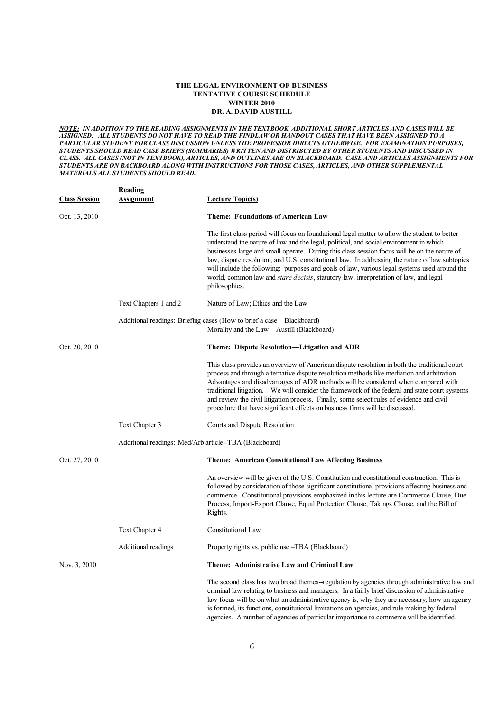#### **THE LEGAL ENVIRONMENT OF BUSINESS TENTATIVE COURSE SCHEDULE WINTER 2010 DR. A. DAVID AUSTILL**

*NOTE: IN ADDITION TO THE READING ASSIGNMENTS IN THE TEXTBOOK, ADDITIONAL SHORT ARTICLES AND CASES WILL BE ASSIGNED. ALL STUDENTS DO NOT HAVE TO READ THE FINDLAW OR HANDOUT CASES THAT HAVE BEEN ASSIGNED TO A PARTICULAR STUDENT FOR CLASS DISCUSSION UNLESS THE PROFESSOR DIRECTS OTHERWISE. FOR EXAMINATION PURPOSES, STUDENTS SHOULD READ CASE BRIEFS (SUMMARIES) WRITTEN AND DISTRIBUTED BY OTHER STUDENTS AND DISCUSSED IN CLASS. ALL CASES (NOT IN TEXTBOOK), ARTICLES, AND OUTLINES ARE ON BLACKBOARD. CASE AND ARTICLES ASSIGNMENTS FOR STUDENTS ARE ON BACKBOARD ALONG WITH INSTRUCTIONS FOR THOSE CASES, ARTICLES, AND OTHER SUPPLEMENTAL MATERIALS ALL STUDENTS SHOULD READ.*

| <b>Class Session</b> | <b>Reading</b><br><b>Assignment</b> | <b>Lecture Topic(s)</b>                                                                                                                                                                                                                                                                                                                                                                                                                                                                                                                                                                                     |
|----------------------|-------------------------------------|-------------------------------------------------------------------------------------------------------------------------------------------------------------------------------------------------------------------------------------------------------------------------------------------------------------------------------------------------------------------------------------------------------------------------------------------------------------------------------------------------------------------------------------------------------------------------------------------------------------|
| Oct. 13, 2010        |                                     | <b>Theme: Foundations of American Law</b>                                                                                                                                                                                                                                                                                                                                                                                                                                                                                                                                                                   |
|                      |                                     | The first class period will focus on foundational legal matter to allow the student to better<br>understand the nature of law and the legal, political, and social environment in which<br>businesses large and small operate. During this class session focus will be on the nature of<br>law, dispute resolution, and U.S. constitutional law. In addressing the nature of law subtopics<br>will include the following: purposes and goals of law, various legal systems used around the<br>world, common law and <i>stare decisis</i> , statutory law, interpretation of law, and legal<br>philosophies. |
|                      | Text Chapters 1 and 2               | Nature of Law; Ethics and the Law                                                                                                                                                                                                                                                                                                                                                                                                                                                                                                                                                                           |
|                      |                                     | Additional readings: Briefing cases (How to brief a case—Blackboard)<br>Morality and the Law—Austill (Blackboard)                                                                                                                                                                                                                                                                                                                                                                                                                                                                                           |
| Oct. 20, 2010        |                                     | Theme: Dispute Resolution—Litigation and ADR                                                                                                                                                                                                                                                                                                                                                                                                                                                                                                                                                                |
|                      |                                     | This class provides an overview of American dispute resolution in both the traditional court<br>process and through alternative dispute resolution methods like mediation and arbitration.<br>Advantages and disadvantages of ADR methods will be considered when compared with<br>traditional litigation. We will consider the framework of the federal and state court systems<br>and review the civil litigation process. Finally, some select rules of evidence and civil<br>procedure that have significant effects on business firms will be discussed.                                               |
|                      | Text Chapter 3                      | Courts and Dispute Resolution                                                                                                                                                                                                                                                                                                                                                                                                                                                                                                                                                                               |
|                      |                                     | Additional readings: Med/Arb article--TBA (Blackboard)                                                                                                                                                                                                                                                                                                                                                                                                                                                                                                                                                      |
| Oct. 27, 2010        |                                     | <b>Theme: American Constitutional Law Affecting Business</b>                                                                                                                                                                                                                                                                                                                                                                                                                                                                                                                                                |
|                      |                                     | An overview will be given of the U.S. Constitution and constitutional construction. This is<br>followed by consideration of those significant constitutional provisions affecting business and<br>commerce. Constitutional provisions emphasized in this lecture are Commerce Clause, Due<br>Process, Import-Export Clause, Equal Protection Clause, Takings Clause, and the Bill of<br>Rights.                                                                                                                                                                                                             |
|                      | Text Chapter 4                      | <b>Constitutional Law</b>                                                                                                                                                                                                                                                                                                                                                                                                                                                                                                                                                                                   |
|                      | Additional readings                 | Property rights vs. public use -TBA (Blackboard)                                                                                                                                                                                                                                                                                                                                                                                                                                                                                                                                                            |
| Nov. 3, 2010         |                                     | Theme: Administrative Law and Criminal Law                                                                                                                                                                                                                                                                                                                                                                                                                                                                                                                                                                  |
|                      |                                     | The second class has two broad themes--regulation by agencies through administrative law and<br>criminal law relating to business and managers. In a fairly brief discussion of administrative<br>law focus will be on what an administrative agency is, why they are necessary, how an agency<br>is formed, its functions, constitutional limitations on agencies, and rule-making by federal<br>agencies. A number of agencies of particular importance to commerce will be identified.                                                                                                                   |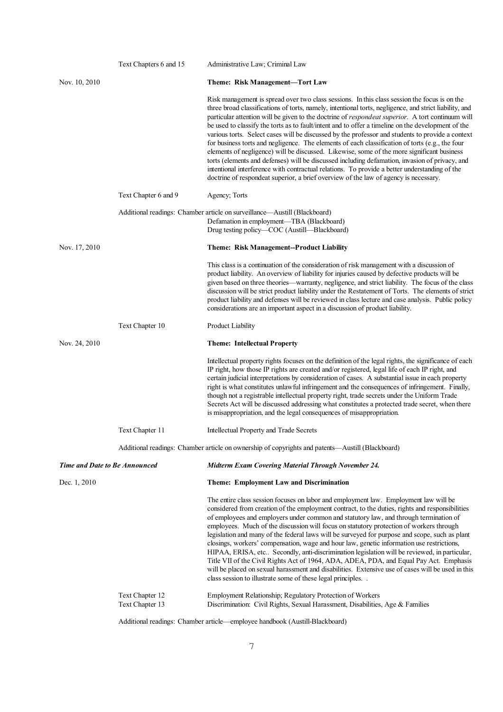|                                      | Text Chapters 6 and 15 | Administrative Law; Criminal Law                                                                                                                                                                                                                                                                                                                                                                                                                                                                                                                                                                                                                                                                                                                                                                                                                                                                                                                                                                                 |
|--------------------------------------|------------------------|------------------------------------------------------------------------------------------------------------------------------------------------------------------------------------------------------------------------------------------------------------------------------------------------------------------------------------------------------------------------------------------------------------------------------------------------------------------------------------------------------------------------------------------------------------------------------------------------------------------------------------------------------------------------------------------------------------------------------------------------------------------------------------------------------------------------------------------------------------------------------------------------------------------------------------------------------------------------------------------------------------------|
| Nov. 10, 2010                        |                        | Theme: Risk Management-Tort Law                                                                                                                                                                                                                                                                                                                                                                                                                                                                                                                                                                                                                                                                                                                                                                                                                                                                                                                                                                                  |
|                                      |                        | Risk management is spread over two class sessions. In this class session the focus is on the<br>three broad classifications of torts, namely, intentional torts, negligence, and strict liability, and<br>particular attention will be given to the doctrine of respondeat superior. A tort continuum will<br>be used to classify the torts as to fault/intent and to offer a timeline on the development of the<br>various torts. Select cases will be discussed by the professor and students to provide a context<br>for business torts and negligence. The elements of each classification of torts (e.g., the four<br>elements of negligence) will be discussed. Likewise, some of the more significant business<br>torts (elements and defenses) will be discussed including defamation, invasion of privacy, and<br>intentional interference with contractual relations. To provide a better understanding of the<br>doctrine of respondeat superior, a brief overview of the law of agency is necessary. |
|                                      | Text Chapter 6 and 9   | Agency; Torts                                                                                                                                                                                                                                                                                                                                                                                                                                                                                                                                                                                                                                                                                                                                                                                                                                                                                                                                                                                                    |
|                                      |                        | Additional readings: Chamber article on surveillance—Austill (Blackboard)<br>Defamation in employment—TBA (Blackboard)<br>Drug testing policy—COC (Austill—Blackboard)                                                                                                                                                                                                                                                                                                                                                                                                                                                                                                                                                                                                                                                                                                                                                                                                                                           |
| Nov. 17, 2010                        |                        | <b>Theme: Risk Management--Product Liability</b>                                                                                                                                                                                                                                                                                                                                                                                                                                                                                                                                                                                                                                                                                                                                                                                                                                                                                                                                                                 |
|                                      |                        | This class is a continuation of the consideration of risk management with a discussion of<br>product liability. An overview of liability for injuries caused by defective products will be<br>given based on three theories—warranty, negligence, and strict liability. The focus of the class<br>discussion will be strict product liability under the Restatement of Torts. The elements of strict<br>product liability and defenses will be reviewed in class lecture and case analysis. Public policy<br>considerations are an important aspect in a discussion of product liability.                                                                                                                                                                                                                                                                                                                                                                                                                        |
|                                      | Text Chapter 10        | <b>Product Liability</b>                                                                                                                                                                                                                                                                                                                                                                                                                                                                                                                                                                                                                                                                                                                                                                                                                                                                                                                                                                                         |
|                                      |                        |                                                                                                                                                                                                                                                                                                                                                                                                                                                                                                                                                                                                                                                                                                                                                                                                                                                                                                                                                                                                                  |
| Nov. 24, 2010                        |                        | <b>Theme: Intellectual Property</b>                                                                                                                                                                                                                                                                                                                                                                                                                                                                                                                                                                                                                                                                                                                                                                                                                                                                                                                                                                              |
|                                      |                        | Intellectual property rights focuses on the definition of the legal rights, the significance of each<br>IP right, how those IP rights are created and/or registered, legal life of each IP right, and<br>certain judicial interpretations by consideration of cases. A substantial issue in each property<br>right is what constitutes unlawful infringement and the consequences of infringement. Finally,<br>though not a registrable intellectual property right, trade secrets under the Uniform Trade<br>Secrets Act will be discussed addressing what constitutes a protected trade secret, when there<br>is misappropriation, and the legal consequences of misappropriation.                                                                                                                                                                                                                                                                                                                             |
|                                      | Text Chapter 11        | Intellectual Property and Trade Secrets                                                                                                                                                                                                                                                                                                                                                                                                                                                                                                                                                                                                                                                                                                                                                                                                                                                                                                                                                                          |
|                                      |                        | Additional readings: Chamber article on ownership of copyrights and patents-Austill (Blackboard)                                                                                                                                                                                                                                                                                                                                                                                                                                                                                                                                                                                                                                                                                                                                                                                                                                                                                                                 |
| <b>Time and Date to Be Announced</b> |                        | <b>Midterm Exam Covering Material Through November 24.</b>                                                                                                                                                                                                                                                                                                                                                                                                                                                                                                                                                                                                                                                                                                                                                                                                                                                                                                                                                       |
| Dec. 1, 2010                         |                        | <b>Theme: Employment Law and Discrimination</b>                                                                                                                                                                                                                                                                                                                                                                                                                                                                                                                                                                                                                                                                                                                                                                                                                                                                                                                                                                  |
|                                      |                        | The entire class session focuses on labor and employment law. Employment law will be<br>considered from creation of the employment contract, to the duties, rights and responsibilities<br>of employees and employers under common and statutory law, and through termination of<br>employees. Much of the discussion will focus on statutory protection of workers through<br>legislation and many of the federal laws will be surveyed for purpose and scope, such as plant<br>closings, workers' compensation, wage and hour law, genetic information use restrictions,<br>HIPAA, ERISA, etc Secondly, anti-discrimination legislation will be reviewed, in particular,<br>Title VII of the Civil Rights Act of 1964, ADA, ADEA, PDA, and Equal Pay Act. Emphasis<br>will be placed on sexual harassment and disabilities. Extensive use of cases will be used in this<br>class session to illustrate some of these legal principles. .                                                                       |

Additional readings: Chamber article—employee handbook (Austill-Blackboard)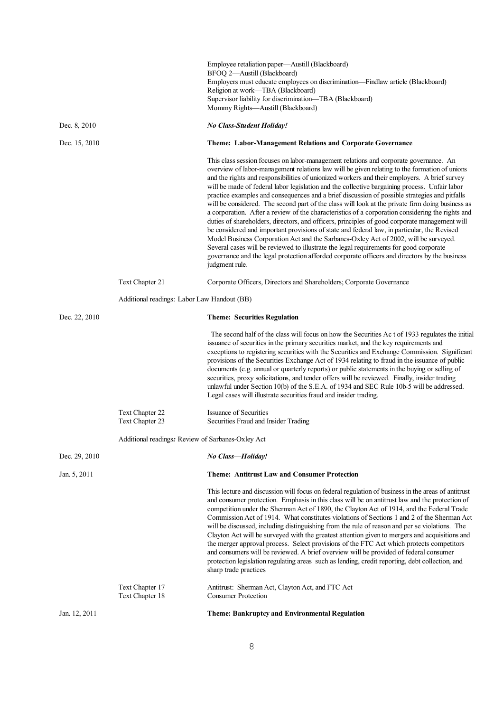|               |                                                   | Employee retaliation paper—Austill (Blackboard)<br>BFOQ 2-Austill (Blackboard)<br>Employers must educate employees on discrimination-Findlaw article (Blackboard)                                                                                                                                                                                                                                                                                                                                                                                                                                                                                                                                                                                                                                                                                                                                                                                                                                                                                                                                                                                                                                    |
|---------------|---------------------------------------------------|------------------------------------------------------------------------------------------------------------------------------------------------------------------------------------------------------------------------------------------------------------------------------------------------------------------------------------------------------------------------------------------------------------------------------------------------------------------------------------------------------------------------------------------------------------------------------------------------------------------------------------------------------------------------------------------------------------------------------------------------------------------------------------------------------------------------------------------------------------------------------------------------------------------------------------------------------------------------------------------------------------------------------------------------------------------------------------------------------------------------------------------------------------------------------------------------------|
|               |                                                   | Religion at work-TBA (Blackboard)                                                                                                                                                                                                                                                                                                                                                                                                                                                                                                                                                                                                                                                                                                                                                                                                                                                                                                                                                                                                                                                                                                                                                                    |
|               |                                                   | Supervisor liability for discrimination—TBA (Blackboard)<br>Mommy Rights-Austill (Blackboard)                                                                                                                                                                                                                                                                                                                                                                                                                                                                                                                                                                                                                                                                                                                                                                                                                                                                                                                                                                                                                                                                                                        |
| Dec. 8, 2010  |                                                   | <b>No Class-Student Holiday!</b>                                                                                                                                                                                                                                                                                                                                                                                                                                                                                                                                                                                                                                                                                                                                                                                                                                                                                                                                                                                                                                                                                                                                                                     |
| Dec. 15, 2010 |                                                   | Theme: Labor-Management Relations and Corporate Governance                                                                                                                                                                                                                                                                                                                                                                                                                                                                                                                                                                                                                                                                                                                                                                                                                                                                                                                                                                                                                                                                                                                                           |
|               |                                                   | This class session focuses on labor-management relations and corporate governance. An<br>overview of labor-management relations law will be given relating to the formation of unions<br>and the rights and responsibilities of unionized workers and their employers. A brief survey<br>will be made of federal labor legislation and the collective bargaining process. Unfair labor<br>practice examples and consequences and a brief discussion of possible strategies and pitfalls<br>will be considered. The second part of the class will look at the private firm doing business as<br>a corporation. After a review of the characteristics of a corporation considering the rights and<br>duties of shareholders, directors, and officers, principles of good corporate management will<br>be considered and important provisions of state and federal law, in particular, the Revised<br>Model Business Corporation Act and the Sarbanes-Oxley Act of 2002, will be surveyed.<br>Several cases will be reviewed to illustrate the legal requirements for good corporate<br>governance and the legal protection afforded corporate officers and directors by the business<br>judgment rule. |
|               | Text Chapter 21                                   | Corporate Officers, Directors and Shareholders; Corporate Governance                                                                                                                                                                                                                                                                                                                                                                                                                                                                                                                                                                                                                                                                                                                                                                                                                                                                                                                                                                                                                                                                                                                                 |
|               | Additional readings: Labor Law Handout (BB)       |                                                                                                                                                                                                                                                                                                                                                                                                                                                                                                                                                                                                                                                                                                                                                                                                                                                                                                                                                                                                                                                                                                                                                                                                      |
| Dec. 22, 2010 |                                                   | <b>Theme: Securities Regulation</b>                                                                                                                                                                                                                                                                                                                                                                                                                                                                                                                                                                                                                                                                                                                                                                                                                                                                                                                                                                                                                                                                                                                                                                  |
|               |                                                   | The second half of the class will focus on how the Securities Ac t of 1933 regulates the initial<br>issuance of securities in the primary securities market, and the key requirements and<br>exceptions to registering securities with the Securities and Exchange Commission. Significant<br>provisions of the Securities Exchange Act of 1934 relating to fraud in the issuance of public<br>documents (e.g. annual or quarterly reports) or public statements in the buying or selling of<br>securities, proxy solicitations, and tender offers will be reviewed. Finally, insider trading<br>unlawful under Section 10(b) of the S.E.A. of 1934 and SEC Rule 10b-5 will be addressed.<br>Legal cases will illustrate securities fraud and insider trading.                                                                                                                                                                                                                                                                                                                                                                                                                                       |
|               | Text Chapter 22<br>Text Chapter 23                | <b>Issuance of Securities</b><br>Securities Fraud and Insider Trading                                                                                                                                                                                                                                                                                                                                                                                                                                                                                                                                                                                                                                                                                                                                                                                                                                                                                                                                                                                                                                                                                                                                |
|               | Additional readings: Review of Sarbanes-Oxley Act |                                                                                                                                                                                                                                                                                                                                                                                                                                                                                                                                                                                                                                                                                                                                                                                                                                                                                                                                                                                                                                                                                                                                                                                                      |
| Dec. 29, 2010 |                                                   | No Class-Holiday!                                                                                                                                                                                                                                                                                                                                                                                                                                                                                                                                                                                                                                                                                                                                                                                                                                                                                                                                                                                                                                                                                                                                                                                    |
| Jan. 5, 2011  |                                                   | <b>Theme: Antitrust Law and Consumer Protection</b>                                                                                                                                                                                                                                                                                                                                                                                                                                                                                                                                                                                                                                                                                                                                                                                                                                                                                                                                                                                                                                                                                                                                                  |
|               |                                                   | This lecture and discussion will focus on federal regulation of business in the areas of antitrust<br>and consumer protection. Emphasis in this class will be on antitrust law and the protection of<br>competition under the Sherman Act of 1890, the Clayton Act of 1914, and the Federal Trade<br>Commission Act of 1914. What constitutes violations of Sections 1 and 2 of the Sherman Act<br>will be discussed, including distinguishing from the rule of reason and per se violations. The<br>Clayton Act will be surveyed with the greatest attention given to mergers and acquisitions and<br>the merger approval process. Select provisions of the FTC Act which protects competitors<br>and consumers will be reviewed. A brief overview will be provided of federal consumer<br>protection legislation regulating areas such as lending, credit reporting, debt collection, and<br>sharp trade practices                                                                                                                                                                                                                                                                                 |
|               | Text Chapter 17<br>Text Chapter 18                | Antitrust: Sherman Act, Clayton Act, and FTC Act<br><b>Consumer Protection</b>                                                                                                                                                                                                                                                                                                                                                                                                                                                                                                                                                                                                                                                                                                                                                                                                                                                                                                                                                                                                                                                                                                                       |
| Jan. 12, 2011 |                                                   | Theme: Bankruptcy and Environmental Regulation                                                                                                                                                                                                                                                                                                                                                                                                                                                                                                                                                                                                                                                                                                                                                                                                                                                                                                                                                                                                                                                                                                                                                       |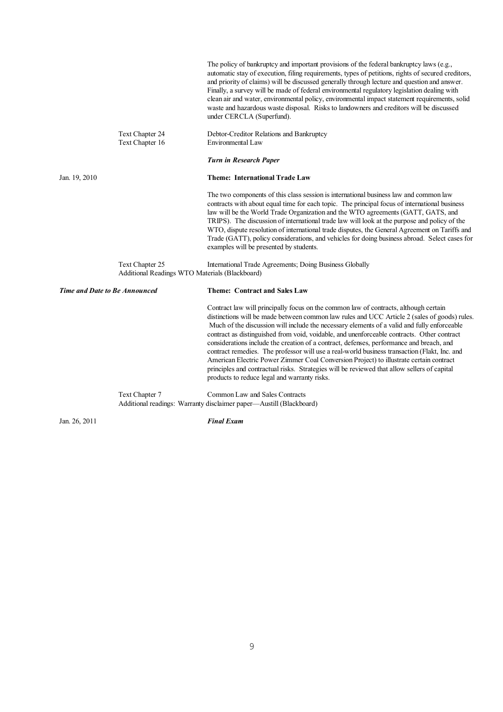|                                                                   | The policy of bankruptcy and important provisions of the federal bankruptcy laws (e.g.,<br>automatic stay of execution, filing requirements, types of petitions, rights of secured creditors,<br>and priority of claims) will be discussed generally through lecture and question and answer.<br>Finally, a survey will be made of federal environmental regulatory legislation dealing with<br>clean air and water, environmental policy, environmental impact statement requirements, solid<br>waste and hazardous waste disposal. Risks to landowners and creditors will be discussed<br>under CERCLA (Superfund).                                                                                                                                                                                                  |
|-------------------------------------------------------------------|------------------------------------------------------------------------------------------------------------------------------------------------------------------------------------------------------------------------------------------------------------------------------------------------------------------------------------------------------------------------------------------------------------------------------------------------------------------------------------------------------------------------------------------------------------------------------------------------------------------------------------------------------------------------------------------------------------------------------------------------------------------------------------------------------------------------|
| Text Chapter 24<br>Text Chapter 16                                | Debtor-Creditor Relations and Bankruptcy<br>Environmental Law                                                                                                                                                                                                                                                                                                                                                                                                                                                                                                                                                                                                                                                                                                                                                          |
|                                                                   | <b>Turn in Research Paper</b>                                                                                                                                                                                                                                                                                                                                                                                                                                                                                                                                                                                                                                                                                                                                                                                          |
| Jan. 19, 2010                                                     | <b>Theme: International Trade Law</b>                                                                                                                                                                                                                                                                                                                                                                                                                                                                                                                                                                                                                                                                                                                                                                                  |
|                                                                   | The two components of this class session is international business law and common law<br>contracts with about equal time for each topic. The principal focus of international business<br>law will be the World Trade Organization and the WTO agreements (GATT, GATS, and<br>TRIPS). The discussion of international trade law will look at the purpose and policy of the<br>WTO, dispute resolution of international trade disputes, the General Agreement on Tariffs and<br>Trade (GATT), policy considerations, and vehicles for doing business abroad. Select cases for<br>examples will be presented by students.                                                                                                                                                                                                |
| Text Chapter 25<br>Additional Readings WTO Materials (Blackboard) | International Trade Agreements; Doing Business Globally                                                                                                                                                                                                                                                                                                                                                                                                                                                                                                                                                                                                                                                                                                                                                                |
| Time and Date to Be Announced                                     | Theme: Contract and Sales Law                                                                                                                                                                                                                                                                                                                                                                                                                                                                                                                                                                                                                                                                                                                                                                                          |
|                                                                   | Contract law will principally focus on the common law of contracts, although certain<br>distinctions will be made between common law rules and UCC Article 2 (sales of goods) rules.<br>Much of the discussion will include the necessary elements of a valid and fully enforceable<br>contract as distinguished from void, voidable, and unenforceable contracts. Other contract<br>considerations include the creation of a contract, defenses, performance and breach, and<br>contract remedies. The professor will use a real-world business transaction (Flakt, Inc. and<br>American Electric Power Zimmer Coal Conversion Project) to illustrate certain contract<br>principles and contractual risks. Strategies will be reviewed that allow sellers of capital<br>products to reduce legal and warranty risks. |
| $T_{\alpha v}$ Chapter $7$                                        | Common Law and Rales Contracts                                                                                                                                                                                                                                                                                                                                                                                                                                                                                                                                                                                                                                                                                                                                                                                         |

Text Chapter 7 Common Law and Sales Contracts Additional readings: Warranty disclaimer paper—Austill (Blackboard)

Jan. 26, 2011 *Final Exam*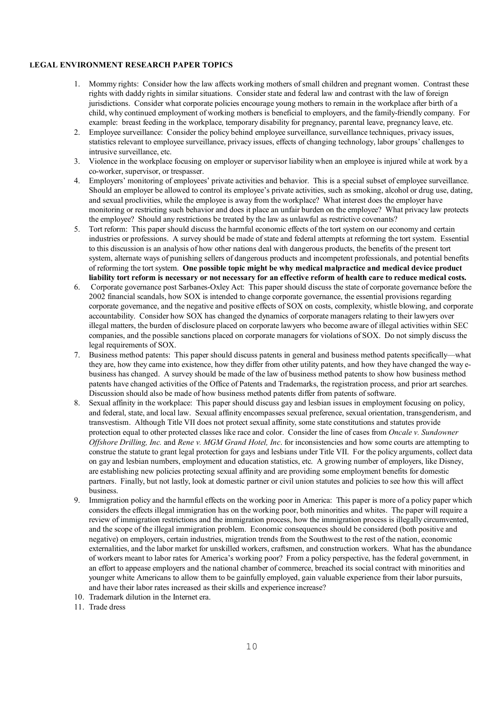#### **LEGAL ENVIRONMENT RESEARCH PAPER TOPICS**

- 1. Mommy rights: Consider how the law affects working mothers of small children and pregnant women. Contrast these rights with daddy rights in similar situations. Consider state and federal law and contrast with the law of foreign jurisdictions. Consider what corporate policies encourage young mothers to remain in the workplace after birth of a child, why continued employment of working mothers is beneficial to employers, and the family-friendly company. For example: breast feeding in the workplace, temporary disability for pregnancy, parental leave, pregnancy leave, etc.
- 2. Employee surveillance: Consider the policy behind employee surveillance, surveillance techniques, privacy issues, statistics relevant to employee surveillance, privacy issues, effects of changing technology, labor groups' challenges to intrusive surveillance, etc.
- 3. Violence in the workplace focusing on employer or supervisor liability when an employee is injured while at work by a co-worker, supervisor, or trespasser.
- 4. Employers' monitoring of employees' private activities and behavior. This is a special subset of employee surveillance. Should an employer be allowed to control its employee's private activities, such as smoking, alcohol or drug use, dating, and sexual proclivities, while the employee is away from the workplace? What interest does the employer have monitoring or restricting such behavior and does it place an unfair burden on the employee? What privacy law protects the employee? Should any restrictions be treated by the law as unlawful as restrictive covenants?
- 5. Tort reform: This paper should discuss the harmful economic effects of the tort system on our economy and certain industries or professions. A survey should be made of state and federal attempts at reforming the tort system. Essential to this discussion is an analysis of how other nations deal with dangerous products, the benefits of the present tort system, alternate ways of punishing sellers of dangerous products and incompetent professionals, and potential benefits of reforming the tort system. **One possible topic might be why medical malpractice and medical device product liability tort reform is necessary or not necessary for an effective reform of health care to reduce medical costs.**
- 6. Corporate governance post Sarbanes-Oxley Act: This paper should discuss the state of corporate governance before the 2002 financial scandals, how SOX is intended to change corporate governance, the essential provisions regarding corporate governance, and the negative and positive effects of SOX on costs, complexity, whistle blowing, and corporate accountability. Consider how SOX has changed the dynamics of corporate managers relating to their lawyers over illegal matters, the burden of disclosure placed on corporate lawyers who become aware of illegal activities within SEC companies, and the possible sanctions placed on corporate managers for violations of SOX. Do not simply discuss the legal requirements of SOX.
- 7. Business method patents: This paper should discuss patents in general and business method patents specifically—what they are, how they came into existence, how they differ from other utility patents, and how they have changed the way ebusiness has changed. A survey should be made of the law of business method patents to show how business method patents have changed activities of the Office of Patents and Trademarks, the registration process, and prior art searches. Discussion should also be made of how business method patents differ from patents of software.
- 8. Sexual affinity in the workplace: This paper should discuss gay and lesbian issues in employment focusing on policy, and federal, state, and local law. Sexual affinity encompasses sexual preference, sexual orientation, transgenderism, and transvestism. Although Title VII does not protect sexual affinity, some state constitutions and statutes provide protection equal to other protected classes like race and color. Consider the line of cases from *Oncale v. Sundowner Offshore Drilling, Inc.* and *Rene v. MGM Grand Hotel, Inc*. for inconsistencies and how some courts are attempting to construe the statute to grant legal protection for gays and lesbians under Title VII. For the policy arguments, collect data on gay and lesbian numbers, employment and education statistics, etc. A growing number of employers, like Disney, are establishing new policies protecting sexual affinity and are providing some employment benefits for domestic partners. Finally, but not lastly, look at domestic partner or civil union statutes and policies to see how this will affect business.
- 9. Immigration policy and the harmful effects on the working poor in America: This paper is more of a policy paper which considers the effects illegal immigration has on the working poor, both minorities and whites. The paper will require a review of immigration restrictions and the immigration process, how the immigration process is illegally circumvented, and the scope of the illegal immigration problem. Economic consequences should be considered (both positive and negative) on employers, certain industries, migration trends from the Southwest to the rest of the nation, economic externalities, and the labor market for unskilled workers, craftsmen, and construction workers. What has the abundance of workers meant to labor rates for America's working poor? From a policy perspective, has the federal government, in an effort to appease employers and the national chamber of commerce, breached its social contract with minorities and younger white Americans to allow them to be gainfully employed, gain valuable experience from their labor pursuits, and have their labor rates increased as their skills and experience increase?
- 10. Trademark dilution in the Internet era.
- 11. Trade dress